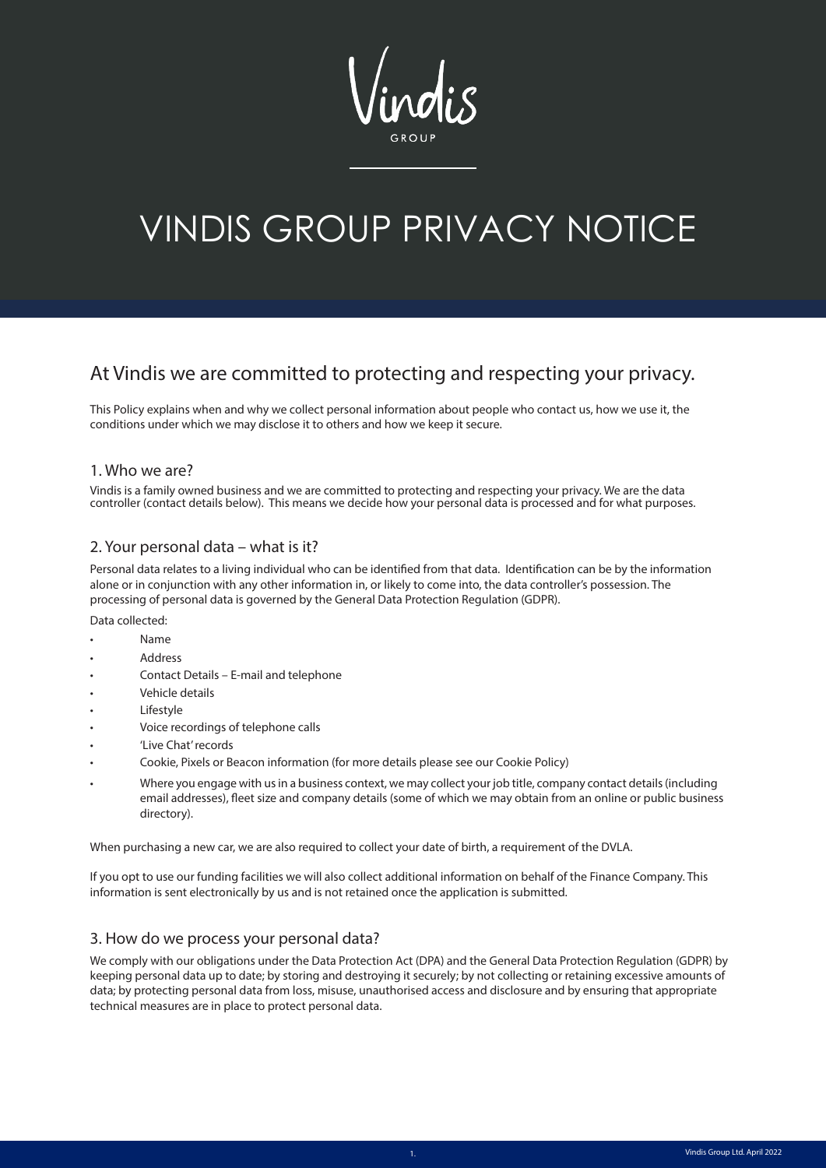# VINDIS GROUP PRIVACY NOTICE

# At Vindis we are committed to protecting and respecting your privacy.

This Policy explains when and why we collect personal information about people who contact us, how we use it, the conditions under which we may disclose it to others and how we keep it secure.

#### 1. Who we are?

Vindis is a family owned business and we are committed to protecting and respecting your privacy. We are the data controller (contact details below). This means we decide how your personal data is processed and for what purposes.

# 2. Your personal data – what is it?

Personal data relates to a living individual who can be identified from that data. Identification can be by the information alone or in conjunction with any other information in, or likely to come into, the data controller's possession. The processing of personal data is governed by the General Data Protection Regulation (GDPR).

Data collected:

- Name
- Address
- Contact Details E-mail and telephone
- Vehicle details
- **Lifestyle**
- Voice recordings of telephone calls
- 'Live Chat' records
- Cookie, Pixels or Beacon information (for more details please see our Cookie Policy)
- Where you engage with us in a business context, we may collect your job title, company contact details (including email addresses), fleet size and company details (some of which we may obtain from an online or public business directory).

When purchasing a new car, we are also required to collect your date of birth, a requirement of the DVLA.

If you opt to use our funding facilities we will also collect additional information on behalf of the Finance Company. This information is sent electronically by us and is not retained once the application is submitted.

#### 3. How do we process your personal data?

We comply with our obligations under the Data Protection Act (DPA) and the General Data Protection Regulation (GDPR) by keeping personal data up to date; by storing and destroying it securely; by not collecting or retaining excessive amounts of data; by protecting personal data from loss, misuse, unauthorised access and disclosure and by ensuring that appropriate technical measures are in place to protect personal data.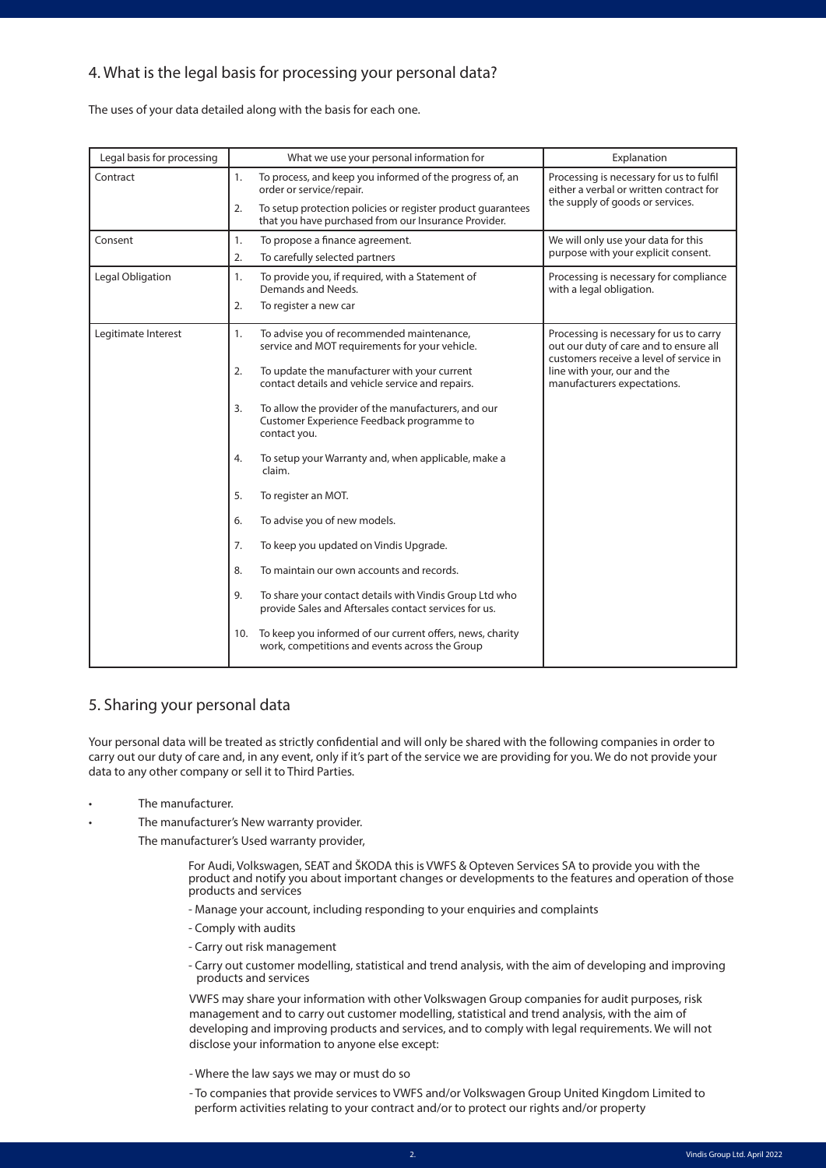# 4. What is the legal basis for processing your personal data?

The uses of your data detailed along with the basis for each one.

| Legal basis for processing |     | What we use your personal information for                                                                           | Explanation                                                                                                                                                                                |
|----------------------------|-----|---------------------------------------------------------------------------------------------------------------------|--------------------------------------------------------------------------------------------------------------------------------------------------------------------------------------------|
| Contract                   | 1.  | To process, and keep you informed of the progress of, an<br>order or service/repair.                                | Processing is necessary for us to fulfil<br>either a verbal or written contract for<br>the supply of goods or services.                                                                    |
|                            | 2.  | To setup protection policies or register product guarantees<br>that you have purchased from our Insurance Provider. |                                                                                                                                                                                            |
| Consent                    | 1.  | To propose a finance agreement.                                                                                     | We will only use your data for this                                                                                                                                                        |
|                            | 2.  | To carefully selected partners                                                                                      | purpose with your explicit consent.                                                                                                                                                        |
| Legal Obligation           | 1.  | To provide you, if required, with a Statement of<br>Demands and Needs.                                              | Processing is necessary for compliance<br>with a legal obligation.                                                                                                                         |
|                            | 2.  | To register a new car                                                                                               |                                                                                                                                                                                            |
| Legitimate Interest        | 1.  | To advise you of recommended maintenance,<br>service and MOT requirements for your vehicle.                         | Processing is necessary for us to carry<br>out our duty of care and to ensure all<br>customers receive a level of service in<br>line with your, our and the<br>manufacturers expectations. |
|                            | 2.  | To update the manufacturer with your current<br>contact details and vehicle service and repairs.                    |                                                                                                                                                                                            |
|                            | 3.  | To allow the provider of the manufacturers, and our<br>Customer Experience Feedback programme to<br>contact you.    |                                                                                                                                                                                            |
|                            | 4.  | To setup your Warranty and, when applicable, make a<br>claim.                                                       |                                                                                                                                                                                            |
|                            | 5.  | To register an MOT.                                                                                                 |                                                                                                                                                                                            |
|                            | 6.  | To advise you of new models.                                                                                        |                                                                                                                                                                                            |
|                            | 7.  | To keep you updated on Vindis Upgrade.                                                                              |                                                                                                                                                                                            |
|                            | 8.  | To maintain our own accounts and records.                                                                           |                                                                                                                                                                                            |
|                            | 9.  | To share your contact details with Vindis Group Ltd who<br>provide Sales and Aftersales contact services for us.    |                                                                                                                                                                                            |
|                            | 10. | To keep you informed of our current offers, news, charity<br>work, competitions and events across the Group         |                                                                                                                                                                                            |

# 5. Sharing your personal data

Your personal data will be treated as strictly confidential and will only be shared with the following companies in order to carry out our duty of care and, in any event, only if it's part of the service we are providing for you. We do not provide your data to any other company or sell it to Third Parties.

- The manufacturer.
- The manufacturer's New warranty provider.

The manufacturer's Used warranty provider,

 For Audi, Volkswagen, SEAT and ŠKODA this is VWFS & Opteven Services SA to provide you with the product and notify you about important changes or developments to the features and operation of those products and services

- Manage your account, including responding to your enquiries and complaints
- Comply with audits
- Carry out risk management
- Carry out customer modelling, statistical and trend analysis, with the aim of developing and improving products and services

VWFS may share your information with other Volkswagen Group companies for audit purposes, risk management and to carry out customer modelling, statistical and trend analysis, with the aim of developing and improving products and services, and to comply with legal requirements. We will not disclose your information to anyone else except:

- Where the law says we may or must do so
- To companies that provide services to VWFS and/or Volkswagen Group United Kingdom Limited to perform activities relating to your contract and/or to protect our rights and/or property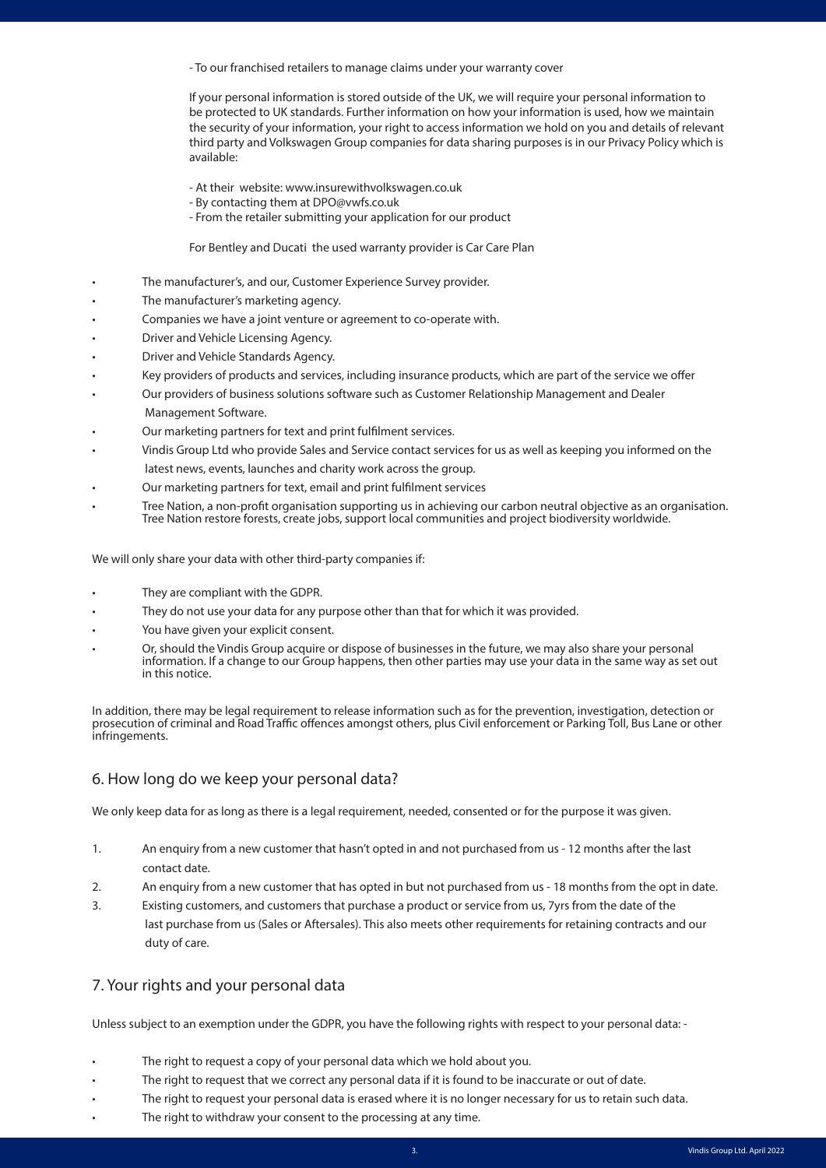- To our franchised retailers to manage claims under your warranty cover

If your personal information is stored outside of the UK, we will require your personal information to be protected to UK standards. Further information on how your information is used, how we maintain the security of your information, your right to access information we hold on you and details of relevant third party and Volkswagen Group companies for data sharing purposes is in our Privacy Policy which is available:

- At their website: www.insurewithvolkswagen.co.uk
- By contacting them at DPO@vwfs.co.uk
- From the retailer submitting your application for our product

For Bentley and Ducati the used warranty provider is Car Care Plan

- The manufacturer's, and our, Customer Experience Survey provider.
- The manufacturer's marketing agency.
- Companies we have a joint venture or agreement to co-operate with.
- Driver and Vehicle Licensing Agency.
- Driver and Vehicle Standards Agency.
- Key providers of products and services, including insurance products, which are part of the service we offer
- Our providers of business solutions software such as Customer Relationship Management and Dealer Management Software.
- Our marketing partners for text and print fulfilment services.
- Vindis Group Ltd who provide Sales and Service contact services for us as well as keeping you informed on the latest news, events, launches and charity work across the group.
- Our marketing partners for text, email and print fulfilment services
- Tree Nation, a non-profit organisation supporting us in achieving our carbon neutral objective as an organisation. Tree Nation restore forests, create jobs, support local communities and project biodiversity worldwide.

We will only share your data with other third-party companies if:

- They are compliant with the GDPR.
- They do not use your data for any purpose other than that for which it was provided.
- You have given your explicit consent.
- Or, should the Vindis Group acquire or dispose of businesses in the future, we may also share your personal information. If a change to our Group happens, then other parties may use your data in the same way as set out in this notice.

In addition, there may be legal requirement to release information such as for the prevention, investigation, detection or prosecution of criminal and Road Traffic offences amongst others, plus Civil enforcement or Parking Toll, Bus Lane or other infringements.

# 6. How long do we keep your personal data?

We only keep data for as long as there is a legal requirement, needed, consented or for the purpose it was given.

- 1. An enquiry from a new customer that hasn't opted in and not purchased from us 12 months after the last contact date.
- 2. An enquiry from a new customer that has opted in but not purchased from us 18 months from the opt in date.
- 3. Existing customers, and customers that purchase a product or service from us, 7yrs from the date of the last purchase from us (Sales or Aftersales). This also meets other requirements for retaining contracts and our duty of care.

# 7. Your rights and your personal data

Unless subject to an exemption under the GDPR, you have the following rights with respect to your personal data: -

- The right to request a copy of your personal data which we hold about you.
- The right to request that we correct any personal data if it is found to be inaccurate or out of date.
- The right to request your personal data is erased where it is no longer necessary for us to retain such data.
- The right to withdraw your consent to the processing at any time.